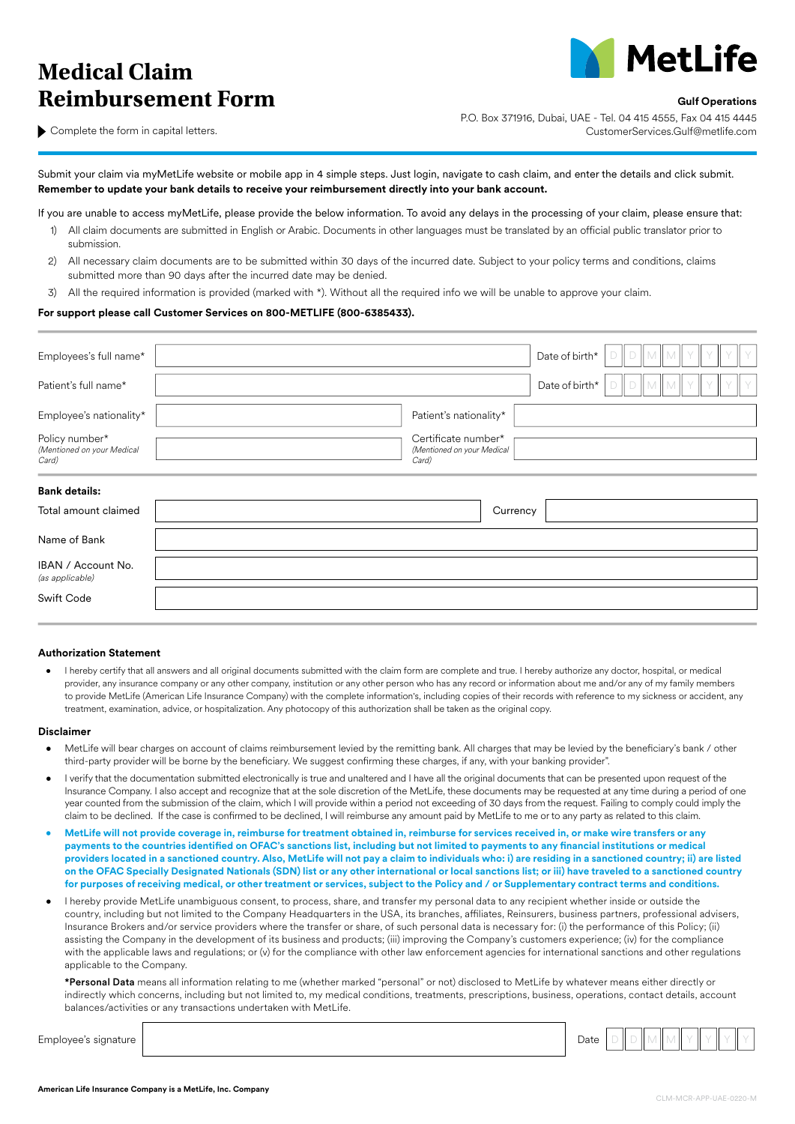# **Medical Claim Reimbursement Form Gulf Operations**



Complete the form in capital letters.

P.O. Box 371916, Dubai, UAE - Tel. 04 415 4555, Fax 04 415 4445 CustomerServices.Gulf@metlife.com

Submit your claim via myMetLife website or mobile app in 4 simple steps. Just login, navigate to cash claim, and enter the details and click submit. **Remember to update your bank details to receive your reimbursement directly into your bank account.**

If you are unable to access myMetLife, please provide the below information. To avoid any delays in the processing of your claim, please ensure that:

- 1) All claim documents are submitted in English or Arabic. Documents in other languages must be translated by an official public translator prior to submission.
- 2) All necessary claim documents are to be submitted within 30 days of the incurred date. Subject to your policy terms and conditions, claims submitted more than 90 days after the incurred date may be denied.
- 3) All the required information is provided (marked with \*). Without all the required info we will be unable to approve your claim.

### **For support please call Customer Services on 800-METLIFE (800-6385433).**

| Employees's full name*                                |                                                            | Date of birth* |  | M | M |  |  |
|-------------------------------------------------------|------------------------------------------------------------|----------------|--|---|---|--|--|
| Patient's full name*                                  |                                                            | Date of birth* |  | M | M |  |  |
| Employee's nationality*                               | Patient's nationality*                                     |                |  |   |   |  |  |
| Policy number*<br>(Mentioned on your Medical<br>Card) | Certificate number*<br>(Mentioned on your Medical<br>Card) |                |  |   |   |  |  |
| <b>Bank details:</b>                                  |                                                            |                |  |   |   |  |  |
| Total amount claimed                                  | Currency                                                   |                |  |   |   |  |  |
| Name of Bank                                          |                                                            |                |  |   |   |  |  |
| IBAN / Account No.<br>(as applicable)                 |                                                            |                |  |   |   |  |  |
| Swift Code                                            |                                                            |                |  |   |   |  |  |

#### **Authorization Statement**

• I hereby certify that all answers and all original documents submitted with the claim form are complete and true. I hereby authorize any doctor, hospital, or medical provider, any insurance company or any other company, institution or any other person who has any record or information about me and/or any of my family members to provide MetLife (American Life Insurance Company) with the complete information's, including copies of their records with reference to my sickness or accident, any treatment, examination, advice, or hospitalization. Any photocopy of this authorization shall be taken as the original copy.

#### **Disclaimer**

- MetLife will bear charges on account of claims reimbursement levied by the remitting bank. All charges that may be levied by the beneficiary's bank / other third-party provider will be borne by the beneficiary. We suggest confirming these charges, if any, with your banking provider".
- I verify that the documentation submitted electronically is true and unaltered and I have all the original documents that can be presented upon request of the Insurance Company. I also accept and recognize that at the sole discretion of the MetLife, these documents may be requested at any time during a period of one year counted from the submission of the claim, which I will provide within a period not exceeding of 30 days from the request. Failing to comply could imply the claim to be declined. If the case is confirmed to be declined, I will reimburse any amount paid by MetLife to me or to any party as related to this claim.
- **• MetLife will not provide coverage in, reimburse for treatment obtained in, reimburse for services received in, or make wire transfers or any payments to the countries identified on OFAC's sanctions list, including but not limited to payments to any financial institutions or medical providers located in a sanctioned country. Also, MetLife will not pay a claim to individuals who: i) are residing in a sanctioned country; ii) are listed on the OFAC Specially Designated Nationals (SDN) list or any other international or local sanctions list; or iii) have traveled to a sanctioned country for purposes of receiving medical, or other treatment or services, subject to the Policy and / or Supplementary contract terms and conditions.**
- I hereby provide MetLife unambiguous consent, to process, share, and transfer my personal data to any recipient whether inside or outside the country, including but not limited to the Company Headquarters in the USA, its branches, affiliates, Reinsurers, business partners, professional advisers, Insurance Brokers and/or service providers where the transfer or share, of such personal data is necessary for: (i) the performance of this Policy; (ii) assisting the Company in the development of its business and products; (iii) improving the Company's customers experience; (iv) for the compliance with the applicable laws and regulations; or (v) for the compliance with other law enforcement agencies for international sanctions and other regulations applicable to the Company.

\*Personal Data means all information relating to me (whether marked "personal" or not) disclosed to MetLife by whatever means either directly or indirectly which concerns, including but not limited to, my medical conditions, treatments, prescriptions, business, operations, contact details, account balances/activities or any transactions undertaken with MetLife.

Employee's signature Date D D M M Y Y Y Y